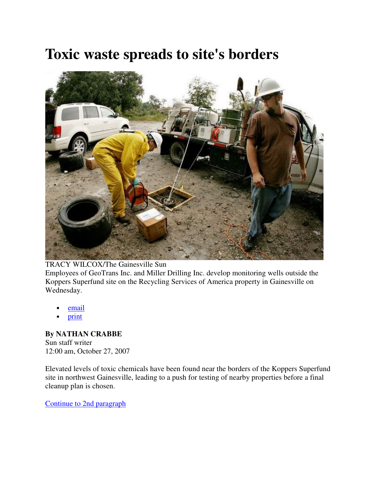## **Toxic waste spreads to site's borders**



TRACY WILCOX/The Gainesville Sun Employees of GeoTrans Inc. and Miller Drilling Inc. develop monitoring wells outside the Koppers Superfund site on the Recycling Services of America property in Gainesville on Wednesday.

- email
- print

### **By NATHAN CRABBE** Sun staff writer

12:00 am, October 27, 2007

Elevated levels of toxic chemicals have been found near the borders of the Koppers Superfund site in northwest Gainesville, leading to a push for testing of nearby properties before a final cleanup plan is chosen.

Continue to 2nd paragraph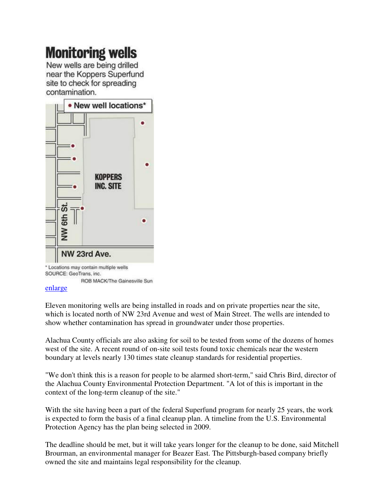# **Monitoring wells**

New wells are being drilled near the Koppers Superfund site to check for spreading contamination.



ROB MACK/The Gainesville Sun

#### enlarge

Eleven monitoring wells are being installed in roads and on private properties near the site, which is located north of NW 23rd Avenue and west of Main Street. The wells are intended to show whether contamination has spread in groundwater under those properties.

Alachua County officials are also asking for soil to be tested from some of the dozens of homes west of the site. A recent round of on-site soil tests found toxic chemicals near the western boundary at levels nearly 130 times state cleanup standards for residential properties.

"We don't think this is a reason for people to be alarmed short-term," said Chris Bird, director of the Alachua County Environmental Protection Department. "A lot of this is important in the context of the long-term cleanup of the site."

With the site having been a part of the federal Superfund program for nearly 25 years, the work is expected to form the basis of a final cleanup plan. A timeline from the U.S. Environmental Protection Agency has the plan being selected in 2009.

The deadline should be met, but it will take years longer for the cleanup to be done, said Mitchell Brourman, an environmental manager for Beazer East. The Pittsburgh-based company briefly owned the site and maintains legal responsibility for the cleanup.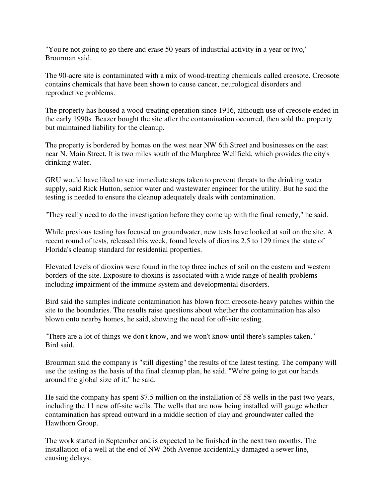"You're not going to go there and erase 50 years of industrial activity in a year or two," Brourman said.

The 90-acre site is contaminated with a mix of wood-treating chemicals called creosote. Creosote contains chemicals that have been shown to cause cancer, neurological disorders and reproductive problems.

The property has housed a wood-treating operation since 1916, although use of creosote ended in the early 1990s. Beazer bought the site after the contamination occurred, then sold the property but maintained liability for the cleanup.

The property is bordered by homes on the west near NW 6th Street and businesses on the east near N. Main Street. It is two miles south of the Murphree Wellfield, which provides the city's drinking water.

GRU would have liked to see immediate steps taken to prevent threats to the drinking water supply, said Rick Hutton, senior water and wastewater engineer for the utility. But he said the testing is needed to ensure the cleanup adequately deals with contamination.

"They really need to do the investigation before they come up with the final remedy," he said.

While previous testing has focused on groundwater, new tests have looked at soil on the site. A recent round of tests, released this week, found levels of dioxins 2.5 to 129 times the state of Florida's cleanup standard for residential properties.

Elevated levels of dioxins were found in the top three inches of soil on the eastern and western borders of the site. Exposure to dioxins is associated with a wide range of health problems including impairment of the immune system and developmental disorders.

Bird said the samples indicate contamination has blown from creosote-heavy patches within the site to the boundaries. The results raise questions about whether the contamination has also blown onto nearby homes, he said, showing the need for off-site testing.

"There are a lot of things we don't know, and we won't know until there's samples taken," Bird said.

Brourman said the company is "still digesting" the results of the latest testing. The company will use the testing as the basis of the final cleanup plan, he said. "We're going to get our hands around the global size of it," he said.

He said the company has spent \$7.5 million on the installation of 58 wells in the past two years, including the 11 new off-site wells. The wells that are now being installed will gauge whether contamination has spread outward in a middle section of clay and groundwater called the Hawthorn Group.

The work started in September and is expected to be finished in the next two months. The installation of a well at the end of NW 26th Avenue accidentally damaged a sewer line, causing delays.